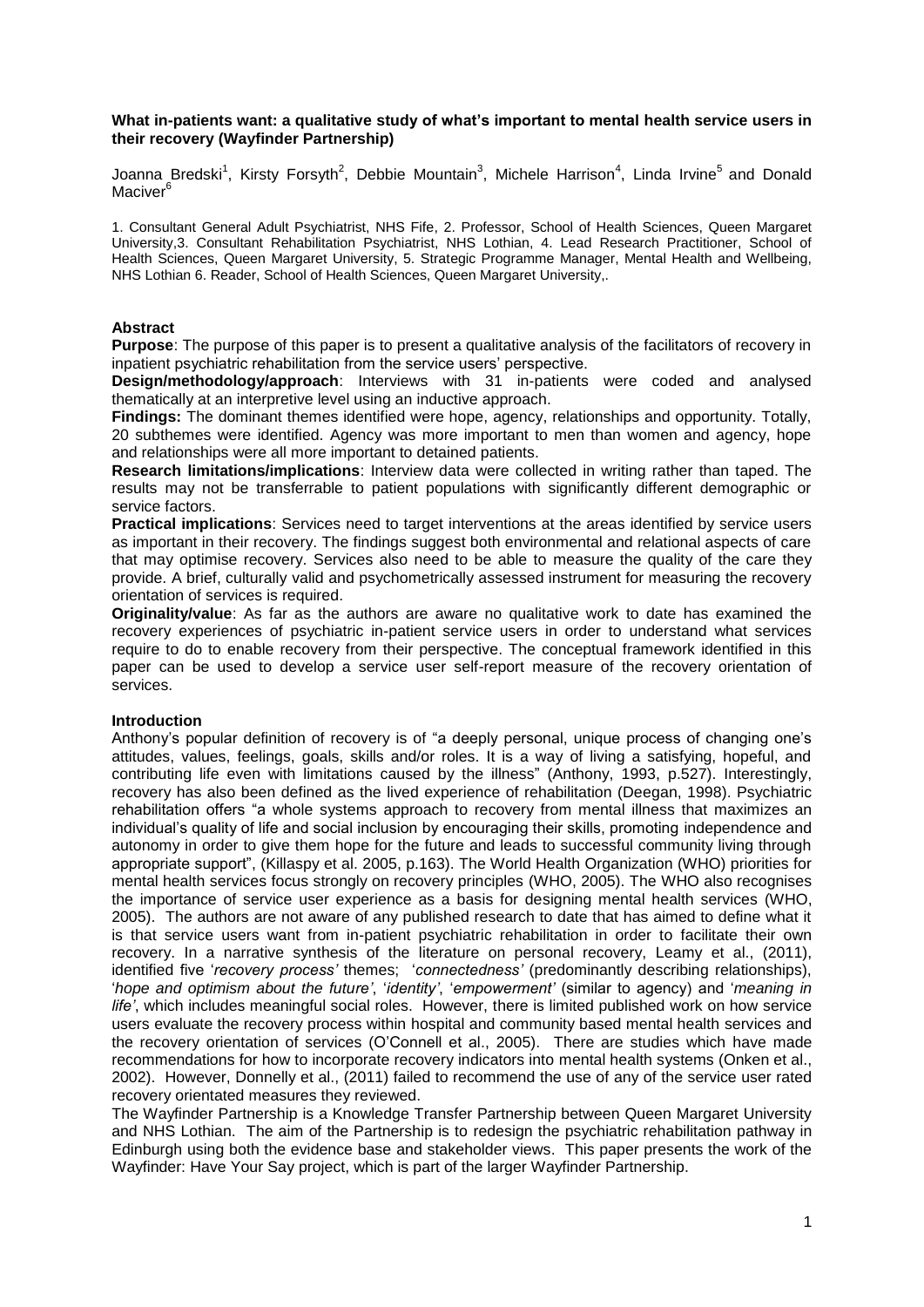## **What in-patients want: a qualitative study of what's important to mental health service users in their recovery (Wayfinder Partnership)**

Joanna Bredski<sup>1</sup>, Kirsty Forsyth<sup>2</sup>, Debbie Mountain<sup>3</sup>, Michele Harrison<sup>4</sup>, Linda Irvine<sup>5</sup> and Donald Maciver<sup>6</sup>

1. Consultant General Adult Psychiatrist, NHS Fife, 2. Professor, School of Health Sciences, Queen Margaret University,3. Consultant Rehabilitation Psychiatrist, NHS Lothian, 4. Lead Research Practitioner, School of Health Sciences, Queen Margaret University, 5. Strategic Programme Manager, Mental Health and Wellbeing, NHS Lothian 6. Reader, School of Health Sciences, Queen Margaret University,.

## **Abstract**

**Purpose**: The purpose of this paper is to present a qualitative analysis of the facilitators of recovery in inpatient psychiatric rehabilitation from the service users' perspective.

**Design/methodology/approach**: Interviews with 31 in-patients were coded and analysed thematically at an interpretive level using an inductive approach.

**Findings:** The dominant themes identified were hope, agency, relationships and opportunity. Totally, 20 subthemes were identified. Agency was more important to men than women and agency, hope and relationships were all more important to detained patients.

**Research limitations/implications**: Interview data were collected in writing rather than taped. The results may not be transferrable to patient populations with significantly different demographic or service factors.

**Practical implications**: Services need to target interventions at the areas identified by service users as important in their recovery. The findings suggest both environmental and relational aspects of care that may optimise recovery. Services also need to be able to measure the quality of the care they provide. A brief, culturally valid and psychometrically assessed instrument for measuring the recovery orientation of services is required.

**Originality/value**: As far as the authors are aware no qualitative work to date has examined the recovery experiences of psychiatric in-patient service users in order to understand what services require to do to enable recovery from their perspective. The conceptual framework identified in this paper can be used to develop a service user self-report measure of the recovery orientation of services.

# **Introduction**

Anthony's popular definition of recovery is of "a deeply personal, unique process of changing one's attitudes, values, feelings, goals, skills and/or roles. It is a way of living a satisfying, hopeful, and contributing life even with limitations caused by the illness" (Anthony, 1993, p.527). Interestingly, recovery has also been defined as the lived experience of rehabilitation (Deegan, 1998). Psychiatric rehabilitation offers "a whole systems approach to recovery from mental illness that maximizes an individual's quality of life and social inclusion by encouraging their skills, promoting independence and autonomy in order to give them hope for the future and leads to successful community living through appropriate support", (Killaspy et al. 2005, p.163). The World Health Organization (WHO) priorities for mental health services focus strongly on recovery principles (WHO, 2005). The WHO also recognises the importance of service user experience as a basis for designing mental health services (WHO, 2005). The authors are not aware of any published research to date that has aimed to define what it is that service users want from in-patient psychiatric rehabilitation in order to facilitate their own recovery. In a narrative synthesis of the literature on personal recovery, Leamy et al., (2011), identified five '*recovery process'* themes; '*connectedness'* (predominantly describing relationships), '*hope and optimism about the future'*, '*identity'*, '*empowerment'* (similar to agency) and '*meaning in life'*, which includes meaningful social roles. However, there is limited published work on how service users evaluate the recovery process within hospital and community based mental health services and the recovery orientation of services (O'Connell et al., 2005). There are studies which have made recommendations for how to incorporate recovery indicators into mental health systems (Onken et al., 2002). However, Donnelly et al., (2011) failed to recommend the use of any of the service user rated recovery orientated measures they reviewed.

The Wayfinder Partnership is a Knowledge Transfer Partnership between Queen Margaret University and NHS Lothian. The aim of the Partnership is to redesign the psychiatric rehabilitation pathway in Edinburgh using both the evidence base and stakeholder views. This paper presents the work of the Wayfinder: Have Your Say project, which is part of the larger Wayfinder Partnership.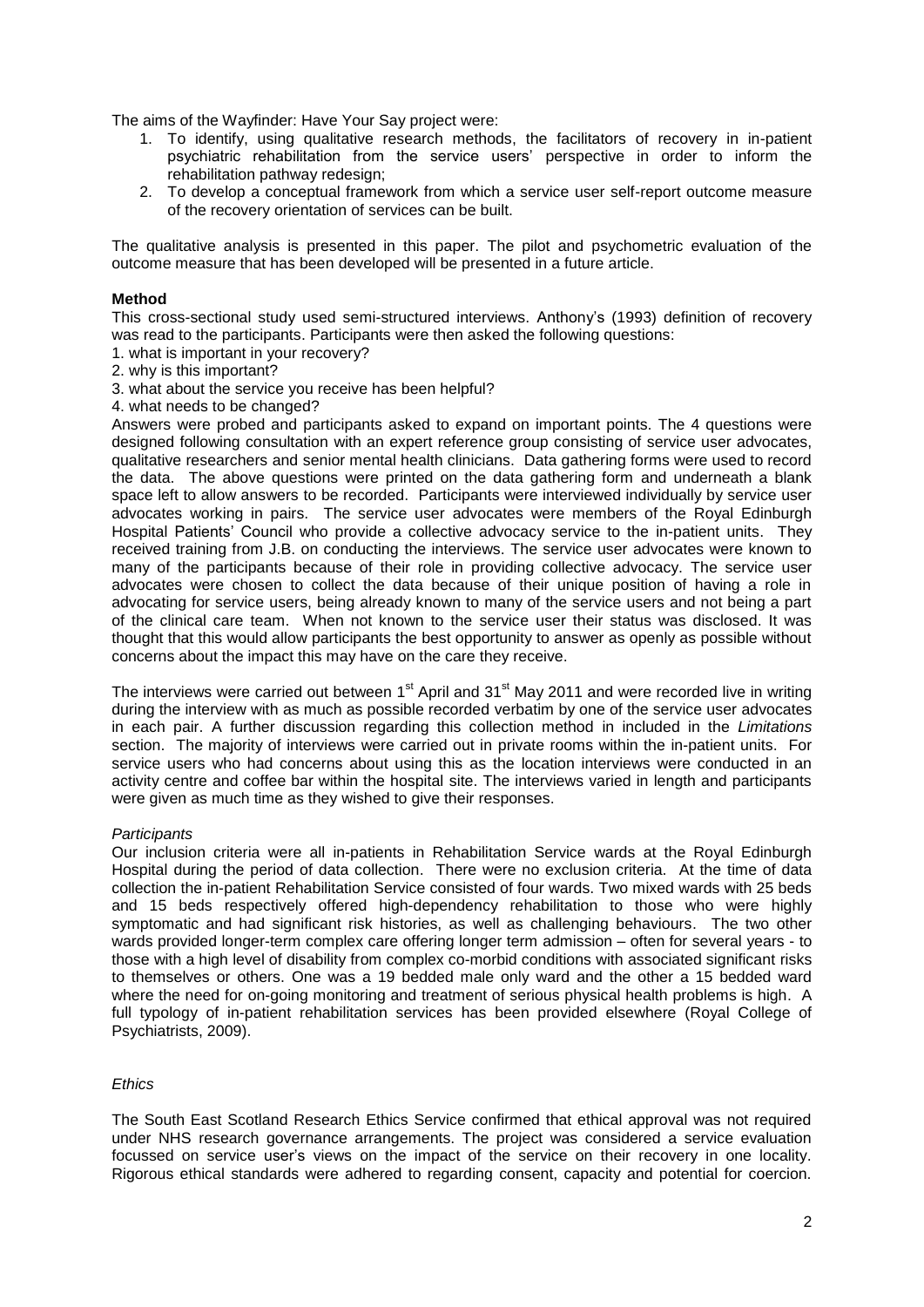The aims of the Wayfinder: Have Your Say project were:

- 1. To identify, using qualitative research methods, the facilitators of recovery in in-patient psychiatric rehabilitation from the service users' perspective in order to inform the rehabilitation pathway redesign;
- 2. To develop a conceptual framework from which a service user self-report outcome measure of the recovery orientation of services can be built.

The qualitative analysis is presented in this paper. The pilot and psychometric evaluation of the outcome measure that has been developed will be presented in a future article.

## **Method**

This cross-sectional study used semi-structured interviews. Anthony's (1993) definition of recovery was read to the participants. Participants were then asked the following questions:

- 1. what is important in your recovery?
- 2. why is this important?
- 3. what about the service you receive has been helpful?
- 4. what needs to be changed?

Answers were probed and participants asked to expand on important points. The 4 questions were designed following consultation with an expert reference group consisting of service user advocates, qualitative researchers and senior mental health clinicians. Data gathering forms were used to record the data. The above questions were printed on the data gathering form and underneath a blank space left to allow answers to be recorded. Participants were interviewed individually by service user advocates working in pairs. The service user advocates were members of the Royal Edinburgh Hospital Patients' Council who provide a collective advocacy service to the in-patient units. They received training from J.B. on conducting the interviews. The service user advocates were known to many of the participants because of their role in providing collective advocacy. The service user advocates were chosen to collect the data because of their unique position of having a role in advocating for service users, being already known to many of the service users and not being a part of the clinical care team. When not known to the service user their status was disclosed. It was thought that this would allow participants the best opportunity to answer as openly as possible without concerns about the impact this may have on the care they receive.

The interviews were carried out between 1<sup>st</sup> April and 31<sup>st</sup> May 2011 and were recorded live in writing during the interview with as much as possible recorded verbatim by one of the service user advocates in each pair. A further discussion regarding this collection method in included in the *Limitations* section. The majority of interviews were carried out in private rooms within the in-patient units. For service users who had concerns about using this as the location interviews were conducted in an activity centre and coffee bar within the hospital site. The interviews varied in length and participants were given as much time as they wished to give their responses.

### *Participants*

Our inclusion criteria were all in-patients in Rehabilitation Service wards at the Royal Edinburgh Hospital during the period of data collection. There were no exclusion criteria. At the time of data collection the in-patient Rehabilitation Service consisted of four wards. Two mixed wards with 25 beds and 15 beds respectively offered high-dependency rehabilitation to those who were highly symptomatic and had significant risk histories, as well as challenging behaviours. The two other wards provided longer-term complex care offering longer term admission – often for several years - to those with a high level of disability from complex co-morbid conditions with associated significant risks to themselves or others. One was a 19 bedded male only ward and the other a 15 bedded ward where the need for on-going monitoring and treatment of serious physical health problems is high. A full typology of in-patient rehabilitation services has been provided elsewhere (Royal College of Psychiatrists, 2009).

### *Ethics*

The South East Scotland Research Ethics Service confirmed that ethical approval was not required under NHS research governance arrangements. The project was considered a service evaluation focussed on service user's views on the impact of the service on their recovery in one locality. Rigorous ethical standards were adhered to regarding consent, capacity and potential for coercion.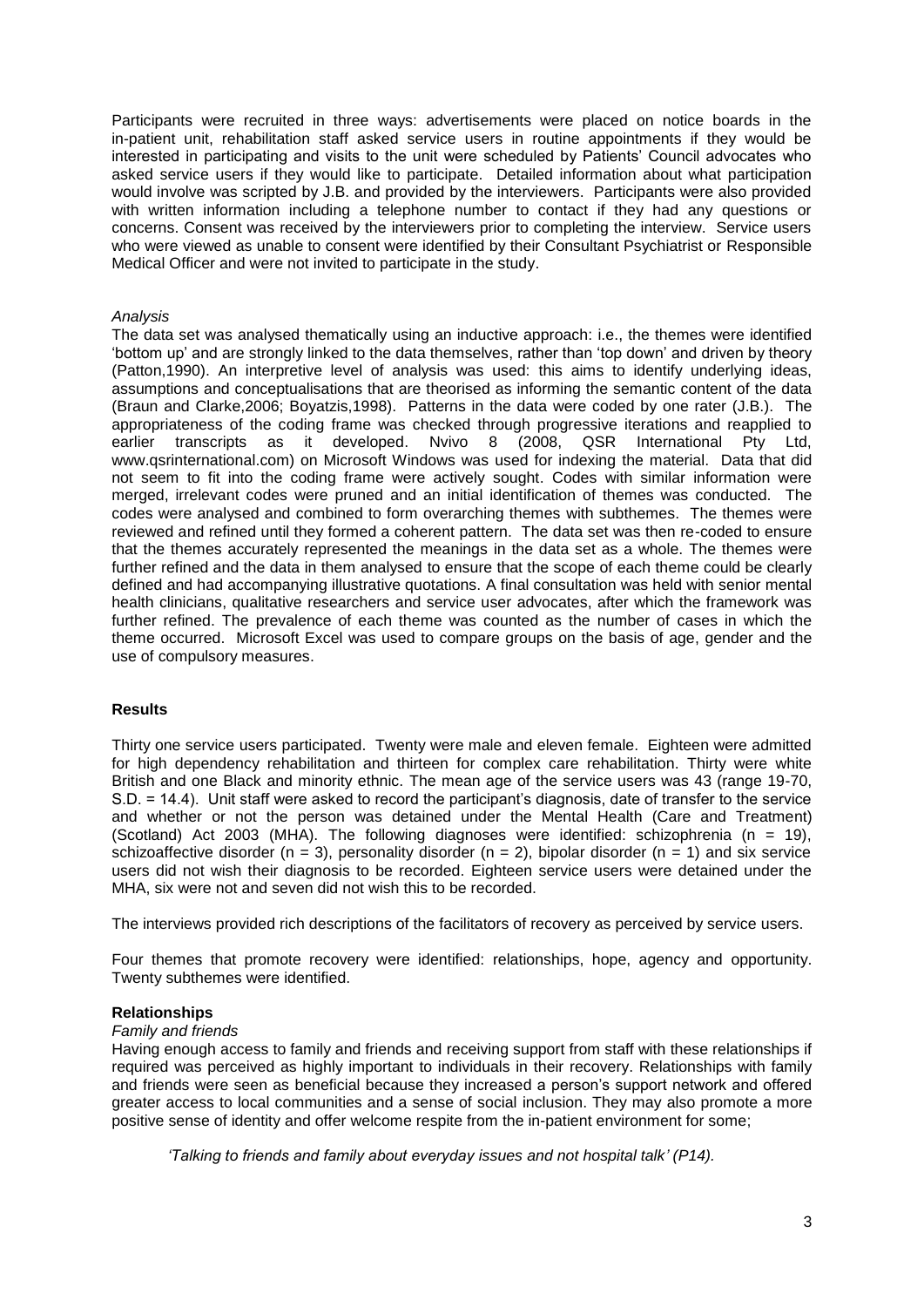Participants were recruited in three ways: advertisements were placed on notice boards in the in-patient unit, rehabilitation staff asked service users in routine appointments if they would be interested in participating and visits to the unit were scheduled by Patients' Council advocates who asked service users if they would like to participate. Detailed information about what participation would involve was scripted by J.B. and provided by the interviewers. Participants were also provided with written information including a telephone number to contact if they had any questions or concerns. Consent was received by the interviewers prior to completing the interview. Service users who were viewed as unable to consent were identified by their Consultant Psychiatrist or Responsible Medical Officer and were not invited to participate in the study.

## *Analysis*

The data set was analysed thematically using an inductive approach: i.e., the themes were identified 'bottom up' and are strongly linked to the data themselves, rather than 'top down' and driven by theory (Patton,1990). An interpretive level of analysis was used: this aims to identify underlying ideas, assumptions and conceptualisations that are theorised as informing the semantic content of the data (Braun and Clarke,2006; Boyatzis,1998). Patterns in the data were coded by one rater (J.B.). The appropriateness of the coding frame was checked through progressive iterations and reapplied to earlier transcripts as it developed. Nvivo 8 (2008, QSR International Pty Ltd, www.qsrinternational.com) on Microsoft Windows was used for indexing the material. Data that did not seem to fit into the coding frame were actively sought. Codes with similar information were merged, irrelevant codes were pruned and an initial identification of themes was conducted. The codes were analysed and combined to form overarching themes with subthemes. The themes were reviewed and refined until they formed a coherent pattern. The data set was then re-coded to ensure that the themes accurately represented the meanings in the data set as a whole. The themes were further refined and the data in them analysed to ensure that the scope of each theme could be clearly defined and had accompanying illustrative quotations. A final consultation was held with senior mental health clinicians, qualitative researchers and service user advocates, after which the framework was further refined. The prevalence of each theme was counted as the number of cases in which the theme occurred. Microsoft Excel was used to compare groups on the basis of age, gender and the use of compulsory measures.

# **Results**

Thirty one service users participated. Twenty were male and eleven female. Eighteen were admitted for high dependency rehabilitation and thirteen for complex care rehabilitation. Thirty were white British and one Black and minority ethnic. The mean age of the service users was 43 (range 19-70, S.D. = 14.4). Unit staff were asked to record the participant's diagnosis, date of transfer to the service and whether or not the person was detained under the Mental Health (Care and Treatment) (Scotland) Act 2003 (MHA). The following diagnoses were identified: schizophrenia (n = 19), schizoaffective disorder (n = 3), personality disorder (n = 2), bipolar disorder (n = 1) and six service users did not wish their diagnosis to be recorded. Eighteen service users were detained under the MHA, six were not and seven did not wish this to be recorded.

The interviews provided rich descriptions of the facilitators of recovery as perceived by service users.

Four themes that promote recovery were identified: relationships, hope, agency and opportunity. Twenty subthemes were identified.

### **Relationships**

### *Family and friends*

Having enough access to family and friends and receiving support from staff with these relationships if required was perceived as highly important to individuals in their recovery. Relationships with family and friends were seen as beneficial because they increased a person's support network and offered greater access to local communities and a sense of social inclusion. They may also promote a more positive sense of identity and offer welcome respite from the in-patient environment for some;

*'Talking to friends and family about everyday issues and not hospital talk' (P14).*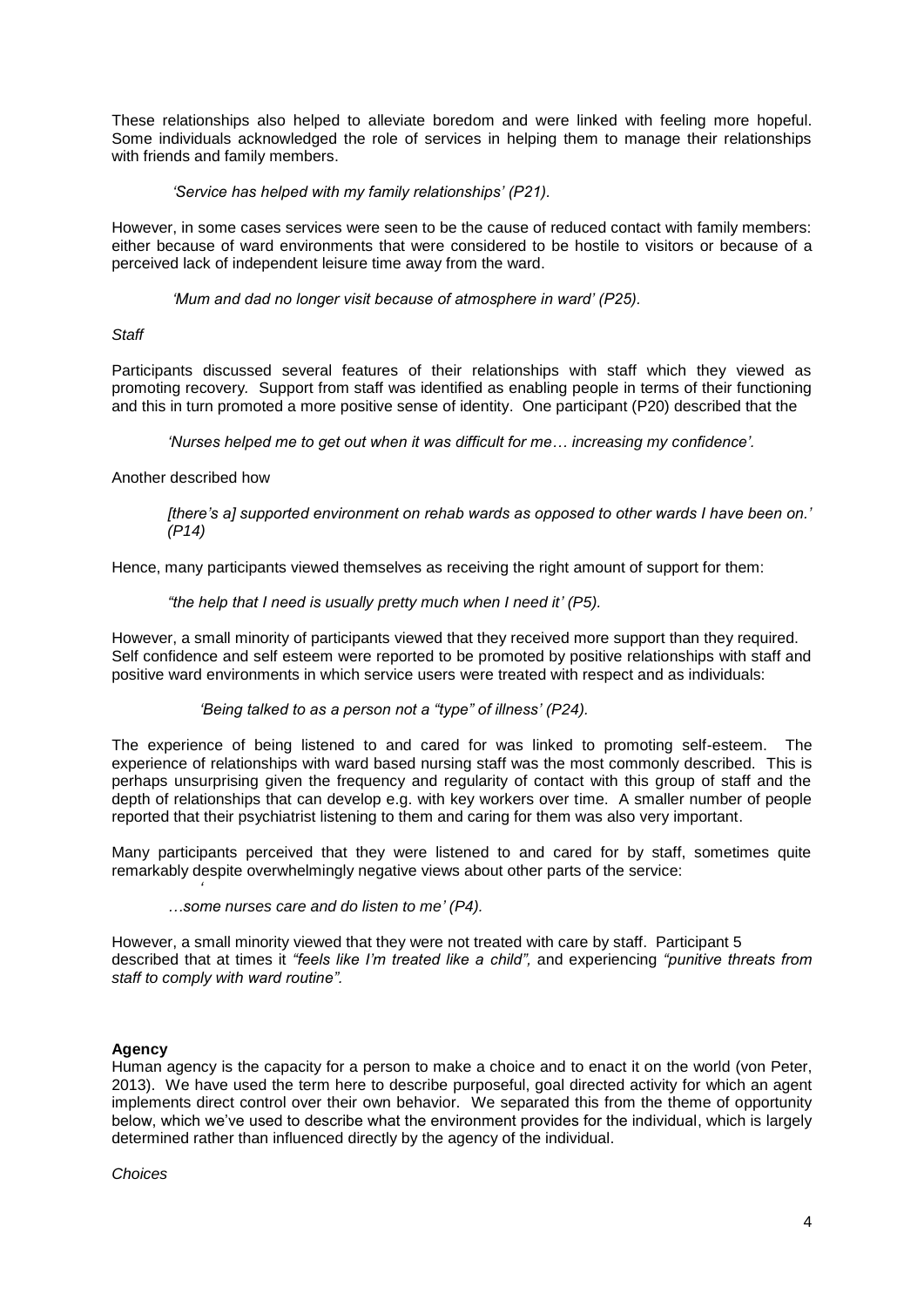These relationships also helped to alleviate boredom and were linked with feeling more hopeful. Some individuals acknowledged the role of services in helping them to manage their relationships with friends and family members.

# *'Service has helped with my family relationships' (P21).*

However, in some cases services were seen to be the cause of reduced contact with family members: either because of ward environments that were considered to be hostile to visitors or because of a perceived lack of independent leisure time away from the ward.

## *'Mum and dad no longer visit because of atmosphere in ward' (P25).*

## *Staff*

Participants discussed several features of their relationships with staff which they viewed as promoting recovery*.* Support from staff was identified as enabling people in terms of their functioning and this in turn promoted a more positive sense of identity. One participant (P20) described that the

*'Nurses helped me to get out when it was difficult for me… increasing my confidence'.*

## Another described how

*'*

*[there's a] supported environment on rehab wards as opposed to other wards I have been on.' (P14)* 

Hence, many participants viewed themselves as receiving the right amount of support for them:

## *"the help that I need is usually pretty much when I need it' (P5).*

However, a small minority of participants viewed that they received more support than they required. Self confidence and self esteem were reported to be promoted by positive relationships with staff and positive ward environments in which service users were treated with respect and as individuals:

### *'Being talked to as a person not a "type" of illness' (P24).*

The experience of being listened to and cared for was linked to promoting self-esteem. The experience of relationships with ward based nursing staff was the most commonly described. This is perhaps unsurprising given the frequency and regularity of contact with this group of staff and the depth of relationships that can develop e.g. with key workers over time. A smaller number of people reported that their psychiatrist listening to them and caring for them was also very important.

Many participants perceived that they were listened to and cared for by staff, sometimes quite remarkably despite overwhelmingly negative views about other parts of the service:

*…some nurses care and do listen to me' (P4).*

However, a small minority viewed that they were not treated with care by staff. Participant 5 described that at times it *"feels like I'm treated like a child",* and experiencing *"punitive threats from staff to comply with ward routine".* 

# **Agency**

Human agency is the capacity for a person to make a choice and to enact it on the world (von Peter, 2013). We have used the term here to describe purposeful, goal directed activity for which an agent implements direct control over their own behavior. We separated this from the theme of opportunity below, which we've used to describe what the environment provides for the individual, which is largely determined rather than influenced directly by the agency of the individual.

## *Choices*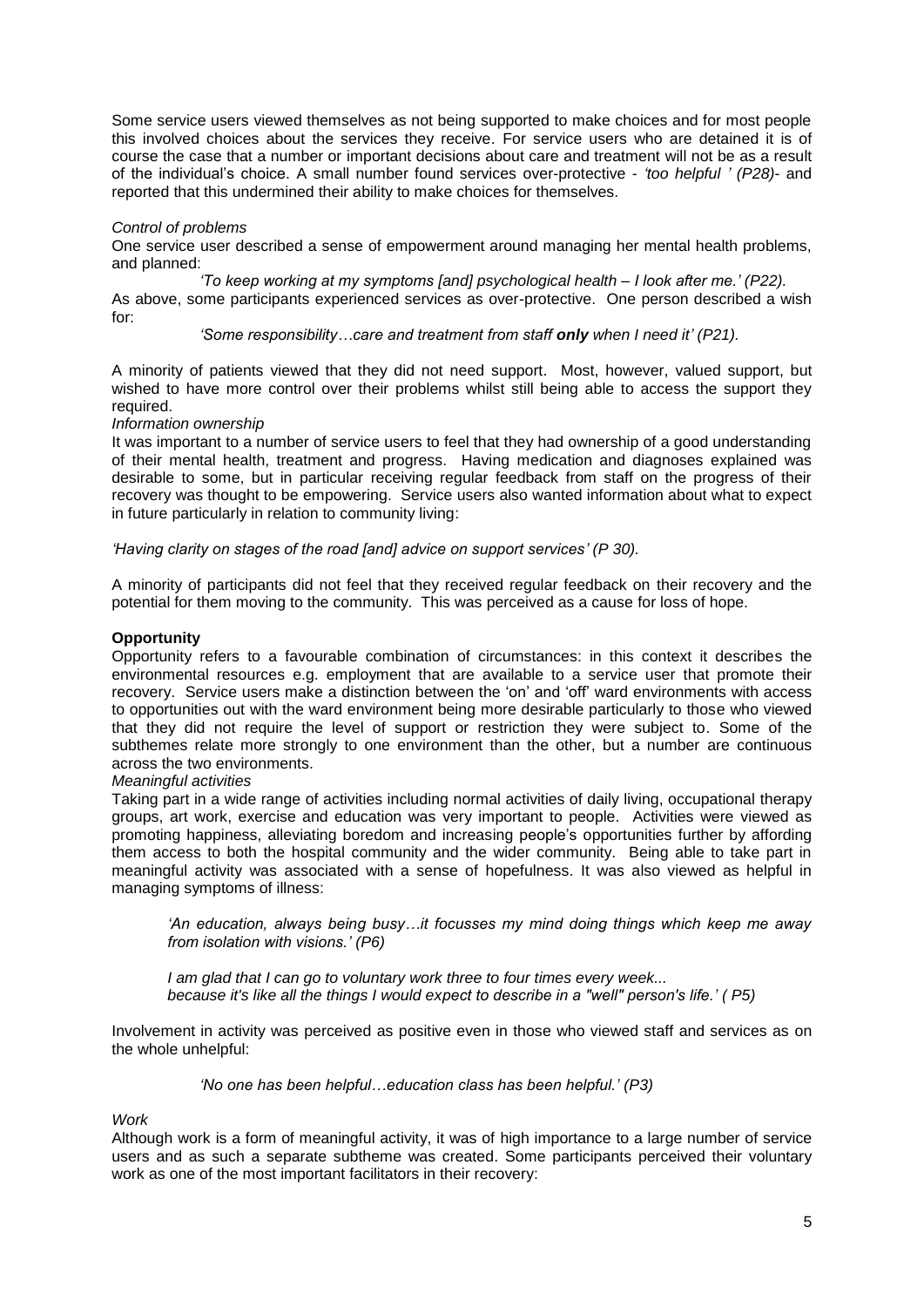Some service users viewed themselves as not being supported to make choices and for most people this involved choices about the services they receive. For service users who are detained it is of course the case that a number or important decisions about care and treatment will not be as a result of the individual's choice. A small number found services over-protective - *'too helpful ' (P28)*- and reported that this undermined their ability to make choices for themselves.

## *Control of problems*

One service user described a sense of empowerment around managing her mental health problems, and planned:

*'To keep working at my symptoms [and] psychological health – I look after me.' (P22).* As above, some participants experienced services as over-protective. One person described a wish for:

*'Some responsibility…care and treatment from staff only when I need it' (P21).*

A minority of patients viewed that they did not need support. Most, however, valued support, but wished to have more control over their problems whilst still being able to access the support they required.

### *Information ownership*

It was important to a number of service users to feel that they had ownership of a good understanding of their mental health, treatment and progress. Having medication and diagnoses explained was desirable to some, but in particular receiving regular feedback from staff on the progress of their recovery was thought to be empowering. Service users also wanted information about what to expect in future particularly in relation to community living:

*'Having clarity on stages of the road [and] advice on support services' (P 30).*

A minority of participants did not feel that they received regular feedback on their recovery and the potential for them moving to the community. This was perceived as a cause for loss of hope.

# **Opportunity**

Opportunity refers to a favourable combination of circumstances: in this context it describes the environmental resources e.g. employment that are available to a service user that promote their recovery. Service users make a distinction between the 'on' and 'off' ward environments with access to opportunities out with the ward environment being more desirable particularly to those who viewed that they did not require the level of support or restriction they were subject to. Some of the subthemes relate more strongly to one environment than the other, but a number are continuous across the two environments.

### *Meaningful activities*

Taking part in a wide range of activities including normal activities of daily living, occupational therapy groups, art work, exercise and education was very important to people. Activities were viewed as promoting happiness, alleviating boredom and increasing people's opportunities further by affording them access to both the hospital community and the wider community. Being able to take part in meaningful activity was associated with a sense of hopefulness. It was also viewed as helpful in managing symptoms of illness:

*'An education, always being busy…it focusses my mind doing things which keep me away from isolation with visions.' (P6)*

*I am glad that I can go to voluntary work three to four times every week... because it's like all the things I would expect to describe in a "well" person's life.' ( P5)*

Involvement in activity was perceived as positive even in those who viewed staff and services as on the whole unhelpful:

*'No one has been helpful…education class has been helpful.' (P3)*

*Work*

Although work is a form of meaningful activity, it was of high importance to a large number of service users and as such a separate subtheme was created. Some participants perceived their voluntary work as one of the most important facilitators in their recovery: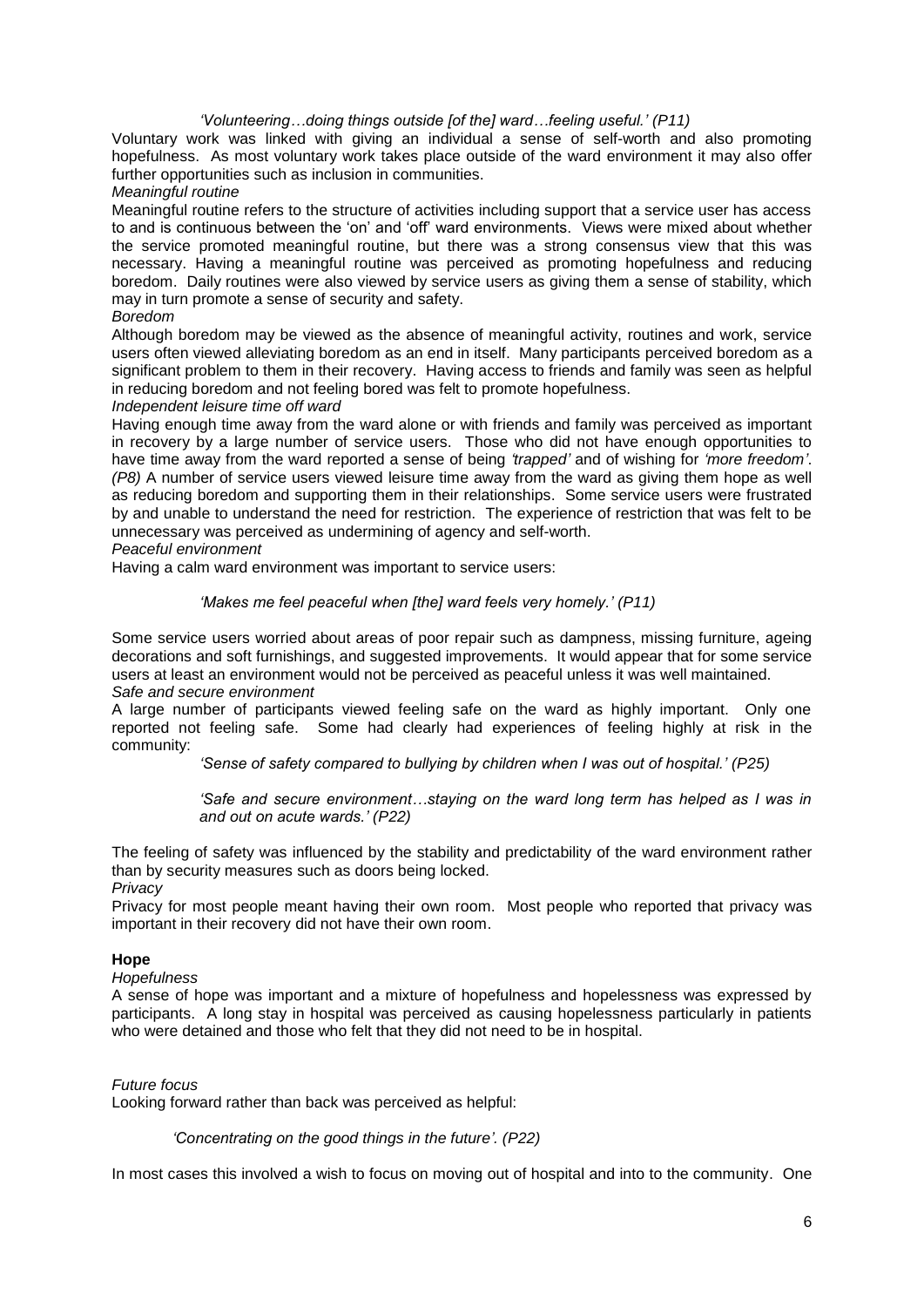## *'Volunteering…doing things outside [of the] ward…feeling useful.' (P11)*

Voluntary work was linked with giving an individual a sense of self-worth and also promoting hopefulness. As most voluntary work takes place outside of the ward environment it may also offer further opportunities such as inclusion in communities.

*Meaningful routine*

Meaningful routine refers to the structure of activities including support that a service user has access to and is continuous between the 'on' and 'off' ward environments. Views were mixed about whether the service promoted meaningful routine, but there was a strong consensus view that this was necessary. Having a meaningful routine was perceived as promoting hopefulness and reducing boredom. Daily routines were also viewed by service users as giving them a sense of stability, which may in turn promote a sense of security and safety.

## *Boredom*

Although boredom may be viewed as the absence of meaningful activity, routines and work, service users often viewed alleviating boredom as an end in itself. Many participants perceived boredom as a significant problem to them in their recovery. Having access to friends and family was seen as helpful in reducing boredom and not feeling bored was felt to promote hopefulness.

#### *Independent leisure time off ward*

Having enough time away from the ward alone or with friends and family was perceived as important in recovery by a large number of service users. Those who did not have enough opportunities to have time away from the ward reported a sense of being *'trapped'* and of wishing for *'more freedom'*. *(P8)* A number of service users viewed leisure time away from the ward as giving them hope as well as reducing boredom and supporting them in their relationships. Some service users were frustrated by and unable to understand the need for restriction. The experience of restriction that was felt to be unnecessary was perceived as undermining of agency and self-worth.

## *Peaceful environment*

Having a calm ward environment was important to service users:

## *'Makes me feel peaceful when [the] ward feels very homely.' (P11)*

Some service users worried about areas of poor repair such as dampness, missing furniture, ageing decorations and soft furnishings, and suggested improvements. It would appear that for some service users at least an environment would not be perceived as peaceful unless it was well maintained. *Safe and secure environment*

A large number of participants viewed feeling safe on the ward as highly important. Only one reported not feeling safe. Some had clearly had experiences of feeling highly at risk in the community:

*'Sense of safety compared to bullying by children when I was out of hospital.' (P25)*

*'Safe and secure environment…staying on the ward long term has helped as I was in and out on acute wards.' (P22)*

The feeling of safety was influenced by the stability and predictability of the ward environment rather than by security measures such as doors being locked.

*Privacy*

Privacy for most people meant having their own room. Most people who reported that privacy was important in their recovery did not have their own room.

### **Hope**

# *Hopefulness*

A sense of hope was important and a mixture of hopefulness and hopelessness was expressed by participants. A long stay in hospital was perceived as causing hopelessness particularly in patients who were detained and those who felt that they did not need to be in hospital.

### *Future focus*

Looking forward rather than back was perceived as helpful:

### *'Concentrating on the good things in the future'. (P22)*

In most cases this involved a wish to focus on moving out of hospital and into to the community. One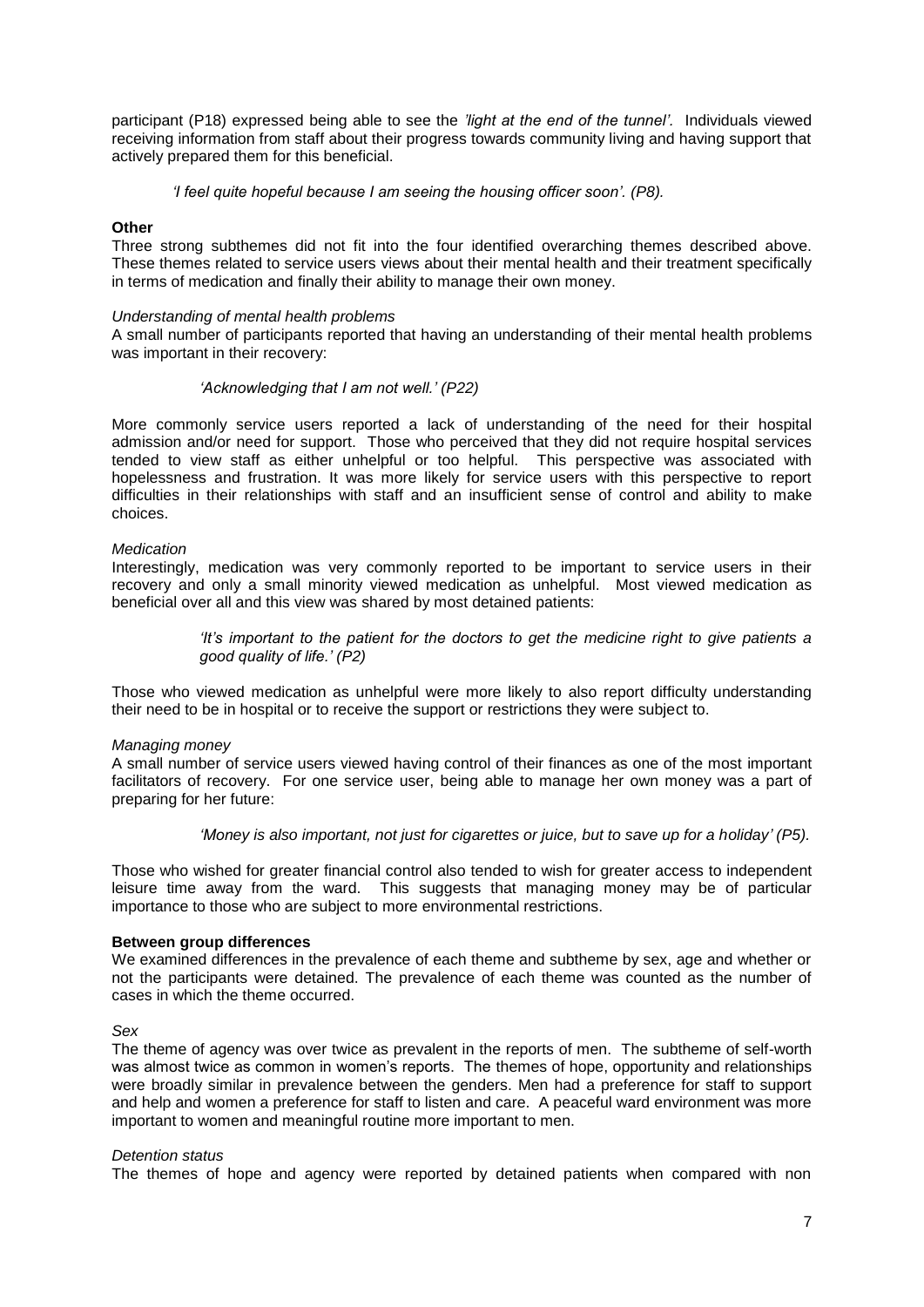participant (P18) expressed being able to see the *'light at the end of the tunnel'.* Individuals viewed receiving information from staff about their progress towards community living and having support that actively prepared them for this beneficial.

 *'I feel quite hopeful because I am seeing the housing officer soon'. (P8).* 

### **Other**

Three strong subthemes did not fit into the four identified overarching themes described above. These themes related to service users views about their mental health and their treatment specifically in terms of medication and finally their ability to manage their own money.

#### *Understanding of mental health problems*

A small number of participants reported that having an understanding of their mental health problems was important in their recovery:

#### *'Acknowledging that I am not well.' (P22)*

More commonly service users reported a lack of understanding of the need for their hospital admission and/or need for support. Those who perceived that they did not require hospital services tended to view staff as either unhelpful or too helpful. This perspective was associated with hopelessness and frustration. It was more likely for service users with this perspective to report difficulties in their relationships with staff and an insufficient sense of control and ability to make choices.

#### *Medication*

Interestingly, medication was very commonly reported to be important to service users in their recovery and only a small minority viewed medication as unhelpful. Most viewed medication as beneficial over all and this view was shared by most detained patients:

> *'It's important to the patient for the doctors to get the medicine right to give patients a good quality of life.' (P2)*

Those who viewed medication as unhelpful were more likely to also report difficulty understanding their need to be in hospital or to receive the support or restrictions they were subject to.

#### *Managing money*

A small number of service users viewed having control of their finances as one of the most important facilitators of recovery. For one service user, being able to manage her own money was a part of preparing for her future:

*'Money is also important, not just for cigarettes or juice, but to save up for a holiday' (P5).*

Those who wished for greater financial control also tended to wish for greater access to independent leisure time away from the ward. This suggests that managing money may be of particular importance to those who are subject to more environmental restrictions.

### **Between group differences**

We examined differences in the prevalence of each theme and subtheme by sex, age and whether or not the participants were detained. The prevalence of each theme was counted as the number of cases in which the theme occurred.

#### *Sex*

The theme of agency was over twice as prevalent in the reports of men. The subtheme of self-worth was almost twice as common in women's reports. The themes of hope, opportunity and relationships were broadly similar in prevalence between the genders. Men had a preference for staff to support and help and women a preference for staff to listen and care. A peaceful ward environment was more important to women and meaningful routine more important to men.

#### *Detention status*

The themes of hope and agency were reported by detained patients when compared with non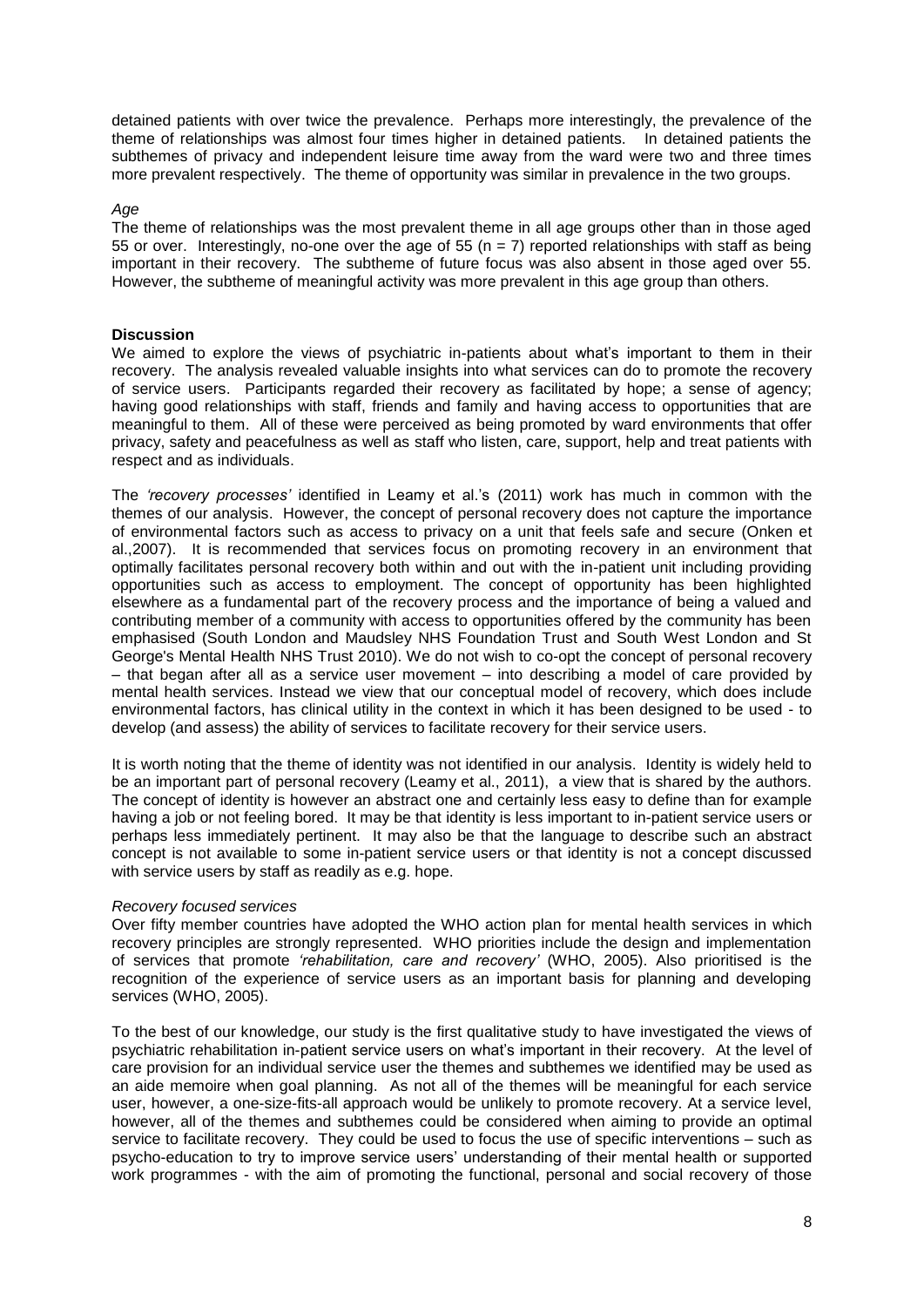detained patients with over twice the prevalence. Perhaps more interestingly, the prevalence of the theme of relationships was almost four times higher in detained patients. In detained patients the subthemes of privacy and independent leisure time away from the ward were two and three times more prevalent respectively. The theme of opportunity was similar in prevalence in the two groups.

### *Age*

The theme of relationships was the most prevalent theme in all age groups other than in those aged 55 or over. Interestingly, no-one over the age of 55 ( $n = 7$ ) reported relationships with staff as being important in their recovery. The subtheme of future focus was also absent in those aged over 55. However, the subtheme of meaningful activity was more prevalent in this age group than others.

### **Discussion**

We aimed to explore the views of psychiatric in-patients about what's important to them in their recovery. The analysis revealed valuable insights into what services can do to promote the recovery of service users. Participants regarded their recovery as facilitated by hope; a sense of agency; having good relationships with staff, friends and family and having access to opportunities that are meaningful to them. All of these were perceived as being promoted by ward environments that offer privacy, safety and peacefulness as well as staff who listen, care, support, help and treat patients with respect and as individuals.

The *'recovery processes'* identified in Leamy et al.'s (2011) work has much in common with the themes of our analysis. However, the concept of personal recovery does not capture the importance of environmental factors such as access to privacy on a unit that feels safe and secure (Onken et al.,2007). It is recommended that services focus on promoting recovery in an environment that optimally facilitates personal recovery both within and out with the in-patient unit including providing opportunities such as access to employment. The concept of opportunity has been highlighted elsewhere as a fundamental part of the recovery process and the importance of being a valued and contributing member of a community with access to opportunities offered by the community has been emphasised (South London and Maudsley NHS Foundation Trust and South West London and St George's Mental Health NHS Trust 2010). We do not wish to co-opt the concept of personal recovery – that began after all as a service user movement – into describing a model of care provided by mental health services. Instead we view that our conceptual model of recovery, which does include environmental factors, has clinical utility in the context in which it has been designed to be used - to develop (and assess) the ability of services to facilitate recovery for their service users.

It is worth noting that the theme of identity was not identified in our analysis. Identity is widely held to be an important part of personal recovery (Leamy et al., 2011), a view that is shared by the authors. The concept of identity is however an abstract one and certainly less easy to define than for example having a job or not feeling bored. It may be that identity is less important to in-patient service users or perhaps less immediately pertinent. It may also be that the language to describe such an abstract concept is not available to some in-patient service users or that identity is not a concept discussed with service users by staff as readily as e.g. hope.

#### *Recovery focused services*

Over fifty member countries have adopted the WHO action plan for mental health services in which recovery principles are strongly represented. WHO priorities include the design and implementation of services that promote *'rehabilitation, care and recovery'* (WHO, 2005). Also prioritised is the recognition of the experience of service users as an important basis for planning and developing services (WHO, 2005).

To the best of our knowledge, our study is the first qualitative study to have investigated the views of psychiatric rehabilitation in-patient service users on what's important in their recovery. At the level of care provision for an individual service user the themes and subthemes we identified may be used as an aide memoire when goal planning. As not all of the themes will be meaningful for each service user, however, a one-size-fits-all approach would be unlikely to promote recovery. At a service level, however, all of the themes and subthemes could be considered when aiming to provide an optimal service to facilitate recovery. They could be used to focus the use of specific interventions – such as psycho-education to try to improve service users' understanding of their mental health or supported work programmes - with the aim of promoting the functional, personal and social recovery of those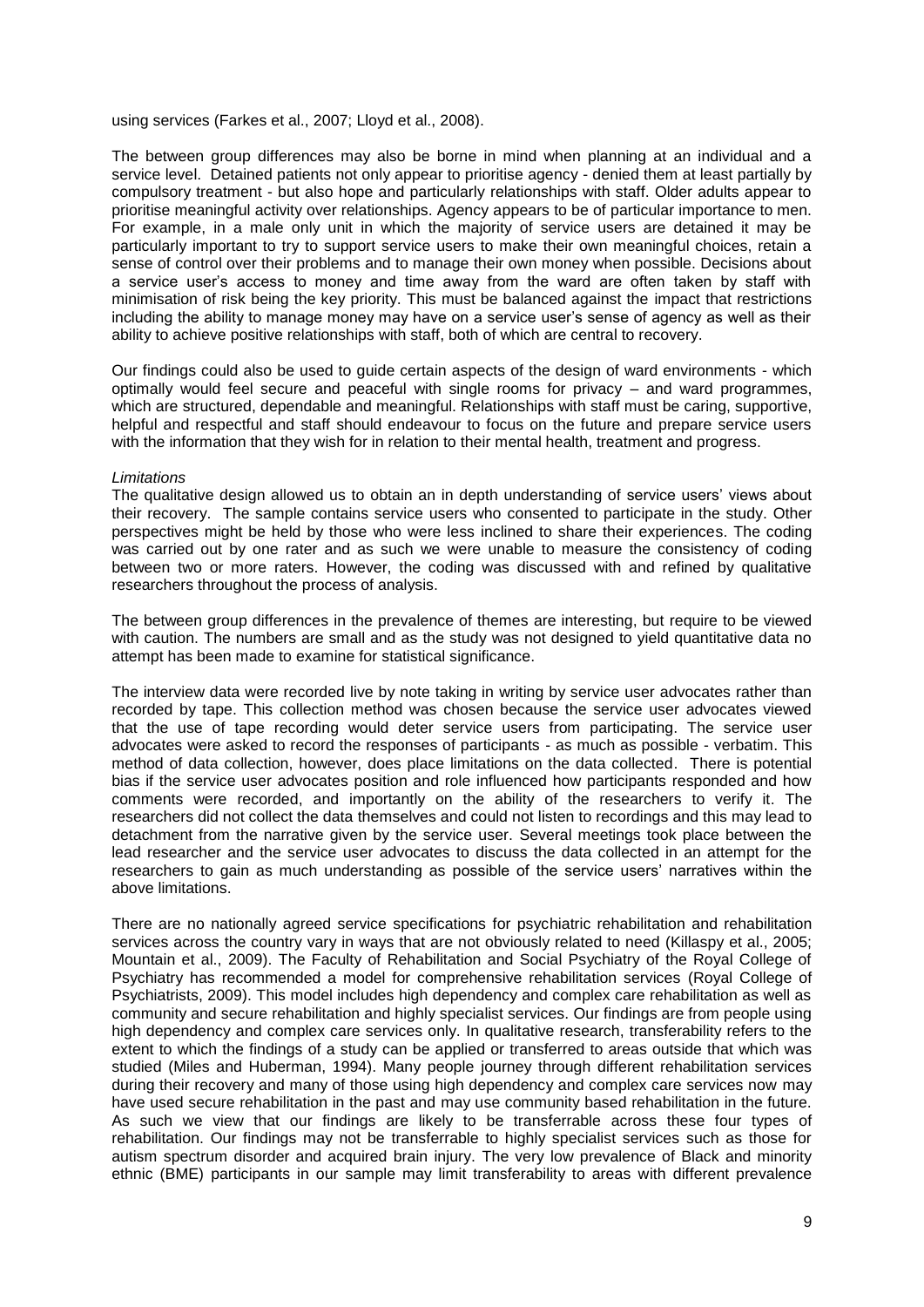using services (Farkes et al., 2007; Lloyd et al., 2008).

The between group differences may also be borne in mind when planning at an individual and a service level. Detained patients not only appear to prioritise agency - denied them at least partially by compulsory treatment - but also hope and particularly relationships with staff. Older adults appear to prioritise meaningful activity over relationships. Agency appears to be of particular importance to men. For example, in a male only unit in which the majority of service users are detained it may be particularly important to try to support service users to make their own meaningful choices, retain a sense of control over their problems and to manage their own money when possible. Decisions about a service user's access to money and time away from the ward are often taken by staff with minimisation of risk being the key priority. This must be balanced against the impact that restrictions including the ability to manage money may have on a service user's sense of agency as well as their ability to achieve positive relationships with staff, both of which are central to recovery.

Our findings could also be used to guide certain aspects of the design of ward environments - which optimally would feel secure and peaceful with single rooms for privacy – and ward programmes, which are structured, dependable and meaningful. Relationships with staff must be caring, supportive, helpful and respectful and staff should endeavour to focus on the future and prepare service users with the information that they wish for in relation to their mental health, treatment and progress.

#### *Limitations*

The qualitative design allowed us to obtain an in depth understanding of service users' views about their recovery. The sample contains service users who consented to participate in the study. Other perspectives might be held by those who were less inclined to share their experiences. The coding was carried out by one rater and as such we were unable to measure the consistency of coding between two or more raters. However, the coding was discussed with and refined by qualitative researchers throughout the process of analysis.

The between group differences in the prevalence of themes are interesting, but require to be viewed with caution. The numbers are small and as the study was not designed to yield quantitative data no attempt has been made to examine for statistical significance.

The interview data were recorded live by note taking in writing by service user advocates rather than recorded by tape. This collection method was chosen because the service user advocates viewed that the use of tape recording would deter service users from participating. The service user advocates were asked to record the responses of participants - as much as possible - verbatim. This method of data collection, however, does place limitations on the data collected. There is potential bias if the service user advocates position and role influenced how participants responded and how comments were recorded, and importantly on the ability of the researchers to verify it. The researchers did not collect the data themselves and could not listen to recordings and this may lead to detachment from the narrative given by the service user. Several meetings took place between the lead researcher and the service user advocates to discuss the data collected in an attempt for the researchers to gain as much understanding as possible of the service users' narratives within the above limitations.

There are no nationally agreed service specifications for psychiatric rehabilitation and rehabilitation services across the country vary in ways that are not obviously related to need (Killaspy et al., 2005; Mountain et al., 2009). The Faculty of Rehabilitation and Social Psychiatry of the Royal College of Psychiatry has recommended a model for comprehensive rehabilitation services (Royal College of Psychiatrists, 2009). This model includes high dependency and complex care rehabilitation as well as community and secure rehabilitation and highly specialist services. Our findings are from people using high dependency and complex care services only. In qualitative research, transferability refers to the extent to which the findings of a study can be applied or transferred to areas outside that which was studied (Miles and Huberman, 1994). Many people journey through different rehabilitation services during their recovery and many of those using high dependency and complex care services now may have used secure rehabilitation in the past and may use community based rehabilitation in the future. As such we view that our findings are likely to be transferrable across these four types of rehabilitation. Our findings may not be transferrable to highly specialist services such as those for autism spectrum disorder and acquired brain injury. The very low prevalence of Black and minority ethnic (BME) participants in our sample may limit transferability to areas with different prevalence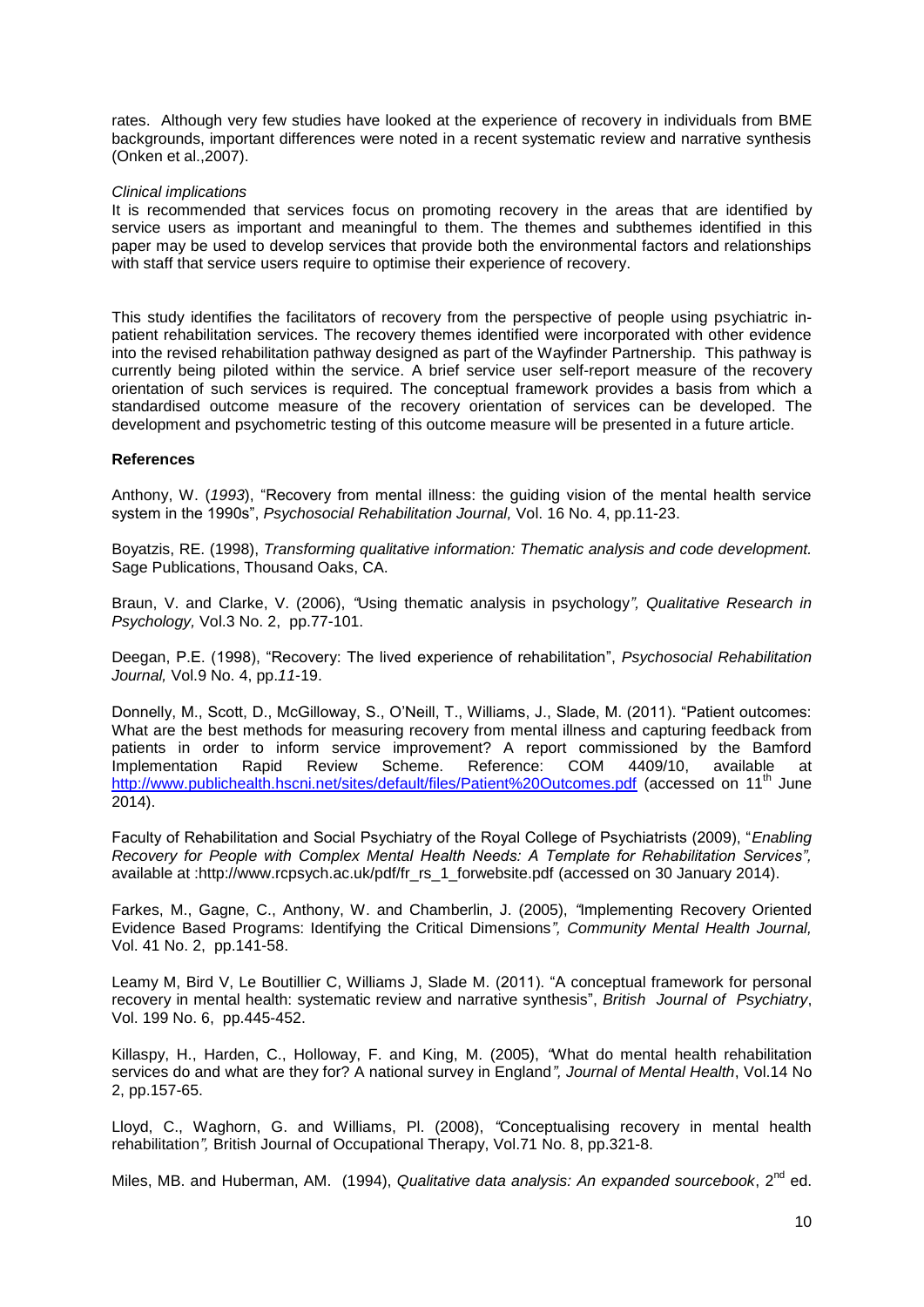rates. Although very few studies have looked at the experience of recovery in individuals from BME backgrounds, important differences were noted in a recent systematic review and narrative synthesis (Onken et al.,2007).

### *Clinical implications*

It is recommended that services focus on promoting recovery in the areas that are identified by service users as important and meaningful to them. The themes and subthemes identified in this paper may be used to develop services that provide both the environmental factors and relationships with staff that service users require to optimise their experience of recovery.

This study identifies the facilitators of recovery from the perspective of people using psychiatric inpatient rehabilitation services. The recovery themes identified were incorporated with other evidence into the revised rehabilitation pathway designed as part of the Wayfinder Partnership. This pathway is currently being piloted within the service. A brief service user self-report measure of the recovery orientation of such services is required. The conceptual framework provides a basis from which a standardised outcome measure of the recovery orientation of services can be developed. The development and psychometric testing of this outcome measure will be presented in a future article.

### **References**

Anthony, W. (*1993*), "Recovery from mental illness: the guiding vision of the mental health service system in the 1990s", *Psychosocial Rehabilitation Journal,* Vol. 16 No. 4, pp.11-23.

Boyatzis, RE. (1998), *Transforming qualitative information: Thematic analysis and code development.* Sage Publications, Thousand Oaks, CA.

Braun, V. and Clarke, V. (2006), *"*Using thematic analysis in psychology*", Qualitative Research in Psychology,* Vol.3 No. 2, pp.77-101.

Deegan, P.E. (1998), "Recovery: The lived experience of rehabilitation", *Psychosocial Rehabilitation Journal,* Vol.9 No. 4, pp.*11*-19.

Donnelly, M., Scott, D., McGilloway, S., O'Neill, T., Williams, J., Slade, M. (2011). "Patient outcomes: What are the best methods for measuring recovery from mental illness and capturing feedback from patients in order to inform service improvement? A report commissioned by the Bamford Implementation Rapid Review Scheme. Reference: COM 4409/10, available at <http://www.publichealth.hscni.net/sites/default/files/Patient%20Outcomes.pdf> (accessed on 11<sup>th</sup> June 2014).

Faculty of Rehabilitation and Social Psychiatry of the Royal College of Psychiatrists (2009), "*Enabling Recovery for People with Complex Mental Health Needs: A Template for Rehabilitation Services",* available at :http://www.rcpsych.ac.uk/pdf/fr\_rs\_1\_forwebsite.pdf (accessed on 30 January 2014).

Farkes, M., Gagne, C., Anthony, W. and Chamberlin, J. (2005), *"*Implementing Recovery Oriented Evidence Based Programs: Identifying the Critical Dimensions*", Community Mental Health Journal,* Vol. 41 No. 2, pp.141-58.

Leamy M, Bird V, Le Boutillier C, Williams J, Slade M. (2011). "A conceptual framework for personal recovery in mental health: systematic review and narrative synthesis", *British Journal of Psychiatry*, Vol. 199 No. 6, pp.445-452.

Killaspy, H., Harden, C., Holloway, F. and King, M. (2005), *"*What do mental health rehabilitation services do and what are they for? A national survey in England*", Journal of Mental Health*, Vol.14 No 2, pp.157-65.

Lloyd, C., Waghorn, G. and Williams, Pl. (2008), *"*Conceptualising recovery in mental health rehabilitation*",* British Journal of Occupational Therapy, Vol.71 No. 8, pp.321-8.

Miles, MB. and Huberman, AM. (1994), *Qualitative data analysis: An expanded sourcebook*. 2<sup>nd</sup> ed.